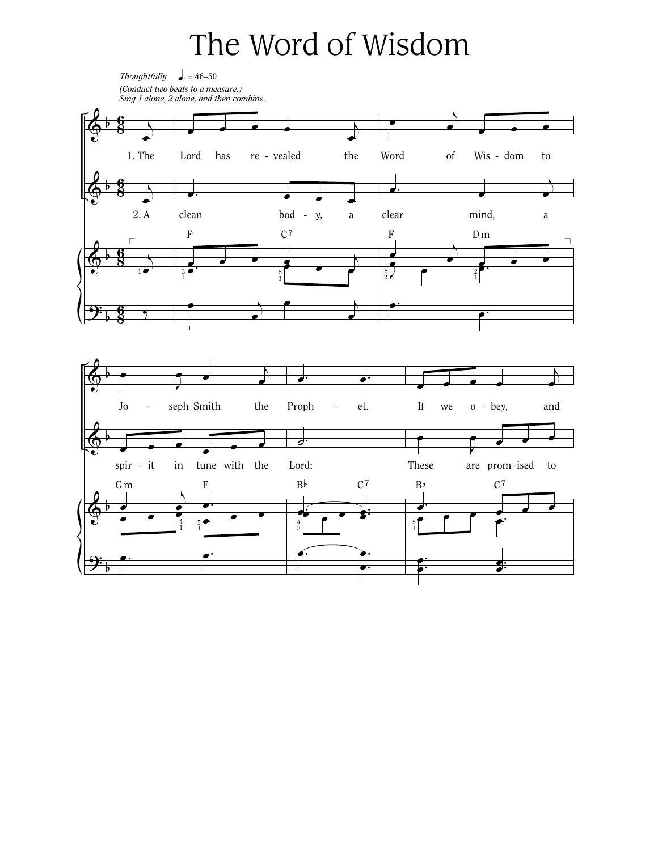## The Word of Wisdom